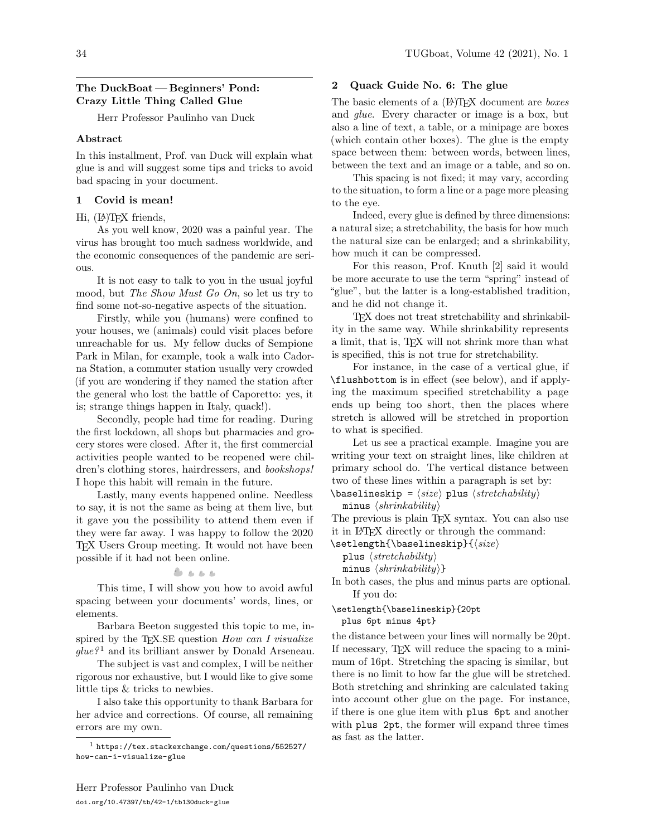# The DuckBoat — Beginners' Pond:

Herr Professor Paulinho van Duck

Crazy Little Thing Called Glue

### Abstract

In this installment, Prof. van Duck will explain what glue is and will suggest some tips and tricks to avoid bad spacing in your document.

## 1 Covid is mean!

## Hi, (LA)TEX friends,

As you well know, 2020 was a painful year. The virus has brought too much sadness worldwide, and the economic consequences of the pandemic are serious.

It is not easy to talk to you in the usual joyful mood, but The Show Must Go On, so let us try to find some not-so-negative aspects of the situation.

Firstly, while you (humans) were confined to your houses, we (animals) could visit places before unreachable for us. My fellow ducks of Sempione Park in Milan, for example, took a walk into Cadorna Station, a commuter station usually very crowded (if you are wondering if they named the station after the general who lost the battle of Caporetto: yes, it is; strange things happen in Italy, quack!).

Secondly, people had time for reading. During the first lockdown, all shops but pharmacies and grocery stores were closed. After it, the first commercial activities people wanted to be reopened were children's clothing stores, hairdressers, and *bookshops!* I hope this habit will remain in the future.

Lastly, many events happened online. Needless to say, it is not the same as being at them live, but it gave you the possibility to attend them even if they were far away. I was happy to follow the 2020 TEX Users Group meeting. It would not have been possible if it had not been online.

 $8.888$ 

This time, I will show you how to avoid awful spacing between your documents' words, lines, or elements.

Barbara Beeton suggested this topic to me, inspired by the TEX.SE question  $How can I visualize$  $glue^{21}$  $glue^{21}$  $glue^{21}$  and its brilliant answer by Donald Arseneau.

The subject is vast and complex, I will be neither rigorous nor exhaustive, but I would like to give some little tips & tricks to newbies.

I also take this opportunity to thank Barbara for her advice and corrections. Of course, all remaining errors are my own.

## 2 Quack Guide No. 6: The glue

The basic elements of a (IA)TFX document are *boxes* and glue. Every character or image is a box, but also a line of text, a table, or a minipage are boxes (which contain other boxes). The glue is the empty space between them: between words, between lines, between the text and an image or a table, and so on.

This spacing is not fixed; it may vary, according to the situation, to form a line or a page more pleasing to the eye.

Indeed, every glue is defined by three dimensions: a natural size; a stretchability, the basis for how much the natural size can be enlarged; and a shrinkability, how much it can be compressed.

For this reason, Prof. Knuth [\[2\]](#page-5-0) said it would be more accurate to use the term "spring" instead of "glue", but the latter is a long-established tradition, and he did not change it.

TEX does not treat stretchability and shrinkability in the same way. While shrinkability represents a limit, that is, TEX will not shrink more than what is specified, this is not true for stretchability.

For instance, in the case of a vertical glue, if \flushbottom is in effect (see below), and if applying the maximum specified stretchability a page ends up being too short, then the places where stretch is allowed will be stretched in proportion to what is specified.

Let us see a practical example. Imagine you are writing your text on straight lines, like children at primary school do. The vertical distance between two of these lines within a paragraph is set by:

```
\{\text{baselineskip} = \langle size \rangle \text{ plus } \langle stretchability \rangle\}minus \langle shrinkability \rangle
```
The previous is plain T<sub>E</sub>X syntax. You can also use it in LATEX directly or through the command:

\setlength{\baselineskip}{⟨size⟩

```
plus \langle stretchability \rangle
```
minus  $\langle shrinkability \rangle$ }

In both cases, the plus and minus parts are optional. If you do:

\setlength{\baselineskip}{20pt plus 6pt minus 4pt}

the distance between your lines will normally be 20pt. If necessary, TEX will reduce the spacing to a minimum of 16pt. Stretching the spacing is similar, but there is no limit to how far the glue will be stretched. Both stretching and shrinking are calculated taking into account other glue on the page. For instance, if there is one glue item with plus 6pt and another with plus 2pt, the former will expand three times as fast as the latter.

<span id="page-0-0"></span> $1$  [https://tex.stackexchange.com/questions/552527/](https://tex.stackexchange.com/questions/552527/how-can-i-visualize-glue) [how-can-i-visualize-glue](https://tex.stackexchange.com/questions/552527/how-can-i-visualize-glue)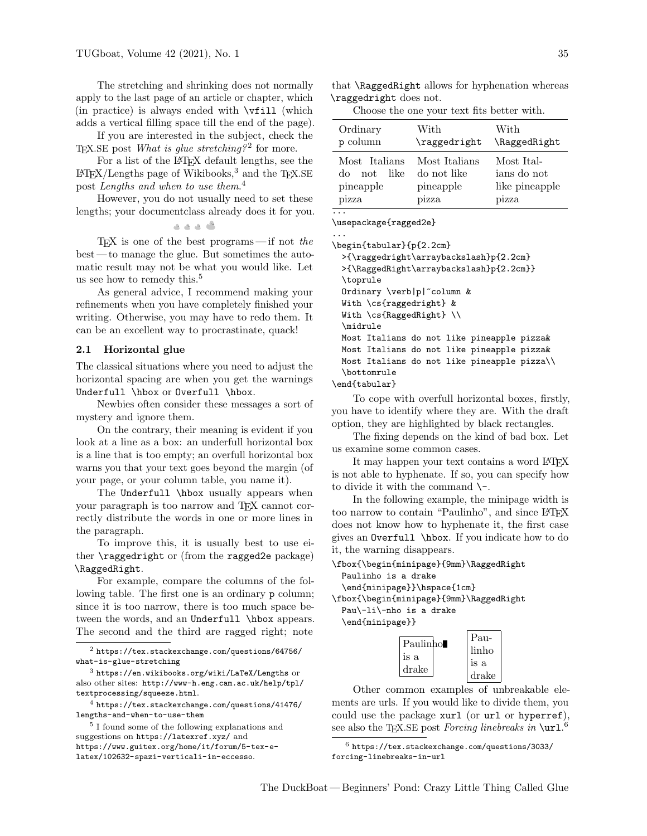The stretching and shrinking does not normally apply to the last page of an article or chapter, which (in practice) is always ended with \vfill (which adds a vertical filling space till the end of the page).

If you are interested in the subject, check the T<sub>E</sub>X.SE post *What is glue stretching*?<sup>[2](#page-1-0)</sup> for more.

For a list of the LAT<sub>EX</sub> default lengths, see the  $LATEX/Lengths$  page of Wikibooks,<sup>[3](#page-1-1)</sup> and the TEX.SE post Lengths and when to use them.<sup>[4](#page-1-2)</sup>

However, you do not usually need to set these lengths; your documentclass already does it for you.

گ د د د

 $TFX$  is one of the best programs—if not the best — to manage the glue. But sometimes the automatic result may not be what you would like. Let us see how to remedy this.<sup>[5](#page-1-3)</sup>

As general advice, I recommend making your refinements when you have completely finished your writing. Otherwise, you may have to redo them. It can be an excellent way to procrastinate, quack!

#### 2.1 Horizontal glue

The classical situations where you need to adjust the horizontal spacing are when you get the warnings Underfull \hbox or Overfull \hbox.

Newbies often consider these messages a sort of mystery and ignore them.

On the contrary, their meaning is evident if you look at a line as a box: an underfull horizontal box is a line that is too empty; an overfull horizontal box warns you that your text goes beyond the margin (of your page, or your column table, you name it).

The Underfull \hbox usually appears when your paragraph is too narrow and TEX cannot correctly distribute the words in one or more lines in the paragraph.

To improve this, it is usually best to use either \raggedright or (from the ragged2e package) \RaggedRight.

For example, compare the columns of the following table. The first one is an ordinary p column; since it is too narrow, there is too much space between the words, and an Underfull \hbox appears. The second and the third are ragged right; note

<span id="page-1-2"></span><sup>4</sup> [https://tex.stackexchange.com/questions/41476/](https://tex.stackexchange.com/questions/41476/lengths-and-when-to-use-them) [lengths-and-when-to-use-them](https://tex.stackexchange.com/questions/41476/lengths-and-when-to-use-them)

that \RaggedRight allows for hyphenation whereas \raggedright does not.

Choose the one your text fits better with.

| Ordinary<br>p column                                      | With<br>\raggedright                               | With<br>\RaggedRight                                 |
|-----------------------------------------------------------|----------------------------------------------------|------------------------------------------------------|
| Most Italians<br>like.<br>not<br>do<br>pineapple<br>pizza | Most Italians<br>do not like<br>pineapple<br>pizza | Most Ital-<br>ians do not<br>like pineapple<br>pizza |
|                                                           |                                                    |                                                      |

\usepackage{ragged2e}

... \begin{tabular}{p{2.2cm}

>{\raggedright\arraybackslash}p{2.2cm} >{\RaggedRight\arraybackslash}p{2.2cm}} \toprule Ordinary \verb|p|~column & With \cs{raggedright} & With \cs{RaggedRight} \\ \midrule Most Italians do not like pineapple pizza& Most Italians do not like pineapple pizza& Most Italians do not like pineapple pizza\\ \bottomrule

\end{tabular}

To cope with overfull horizontal boxes, firstly, you have to identify where they are. With the draft option, they are highlighted by black rectangles.

The fixing depends on the kind of bad box. Let us examine some common cases.

It may happen your text contains a word LAT<sub>EX</sub> is not able to hyphenate. If so, you can specify how to divide it with the command  $\$ -.

In the following example, the minipage width is too narrow to contain "Paulinho", and since LATEX does not know how to hyphenate it, the first case gives an Overfull \hbox. If you indicate how to do it, the warning disappears.

\fbox{\begin{minipage}{9mm}\RaggedRight

Paulinho is a drake \end{minipage}}\hspace{1cm} \fbox{\begin{minipage}{9mm}\RaggedRight

Pau\-li\-nho is a drake \end{minipage}}

|          | Pau-  |
|----------|-------|
| Paulinho | linho |
| is a     | is a  |
| drake    | drake |

Other common examples of unbreakable elements are urls. If you would like to divide them, you could use the package xurl (or url or hyperref), see also the TEX.SE post *Forcing linebreaks in*  $\ur1.6$  $\ur1.6$ 

<span id="page-1-4"></span> $6$  [https://tex.stackexchange.com/questions/3033/](https://tex.stackexchange.com/questions/3033/forcing-linebreaks-in-url) [forcing-linebreaks-in-url](https://tex.stackexchange.com/questions/3033/forcing-linebreaks-in-url)

<span id="page-1-0"></span> $^2$  [https://tex.stackexchange.com/questions/64756/](https://tex.stackexchange.com/questions/64756/what-is-glue-stretching) [what-is-glue-stretching](https://tex.stackexchange.com/questions/64756/what-is-glue-stretching)

<span id="page-1-1"></span> $^3$ <https://en.wikibooks.org/wiki/LaTeX/Lengths> or also other sites: [http://www-h.eng.cam.ac.uk/help/tpl/](http://www-h.eng.cam.ac.uk/help/tpl/textprocessing/squeeze.html) [textprocessing/squeeze.html](http://www-h.eng.cam.ac.uk/help/tpl/textprocessing/squeeze.html).

<span id="page-1-3"></span><sup>5</sup> I found some of the following explanations and suggestions on <https://latexref.xyz/> and [https://www.guitex.org/home/it/forum/5-tex-e](https://www.guitex.org/home/it/forum/5-tex-e-latex/102632-spazi-verticali-in-eccesso)[latex/102632-spazi-verticali-in-eccesso](https://www.guitex.org/home/it/forum/5-tex-e-latex/102632-spazi-verticali-in-eccesso).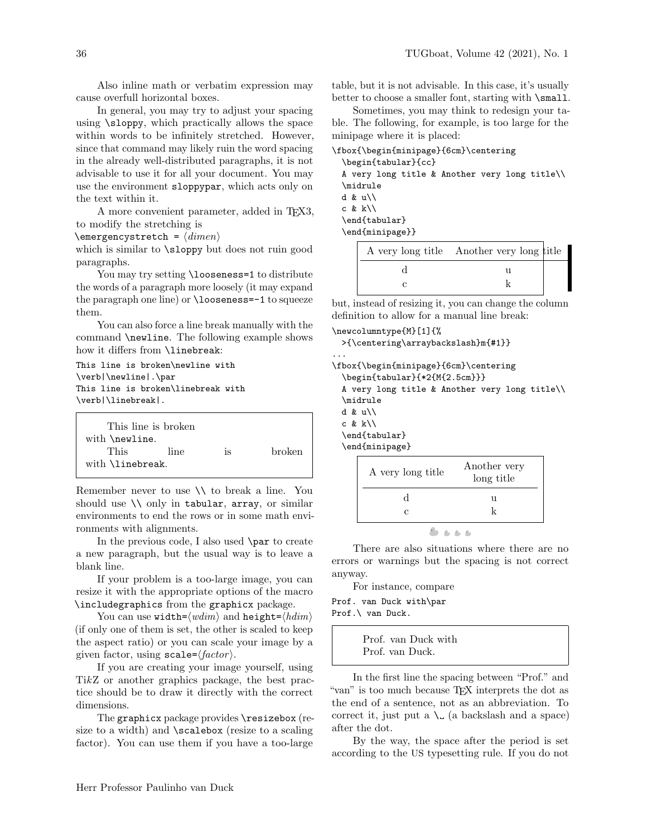Also inline math or verbatim expression may cause overfull horizontal boxes.

In general, you may try to adjust your spacing using \sloppy, which practically allows the space within words to be infinitely stretched. However, since that command may likely ruin the word spacing in the already well-distributed paragraphs, it is not advisable to use it for all your document. You may use the environment sloppypar, which acts only on the text within it.

A more convenient parameter, added in TEX3, to modify the stretching is

 $\text{C}$  \emergencystretch =  $\langle$  dimen $\rangle$ 

which is similar to \sloppy but does not ruin good paragraphs.

You may try setting \looseness=1 to distribute the words of a paragraph more loosely (it may expand the paragraph one line) or \looseness=-1 to squeeze them.

You can also force a line break manually with the command \newline. The following example shows how it differs from **\linebreak**:

This line is broken\newline with \verb|\newline|.\par This line is broken\linebreak with \verb|\linebreak|.

|                          | This line is broken |    |               |  |
|--------------------------|---------------------|----|---------------|--|
| with \newline.           |                     |    |               |  |
| This                     | line                | is | <b>broken</b> |  |
| with <i>\linebreak</i> . |                     |    |               |  |

Remember never to use \\ to break a line. You should use  $\setminus \setminus$  only in tabular, array, or similar environments to end the rows or in some math environments with alignments.

In the previous code, I also used \par to create a new paragraph, but the usual way is to leave a blank line.

If your problem is a too-large image, you can resize it with the appropriate options of the macro \includegraphics from the graphicx package.

You can use width= $\langle wdim \rangle$  and height= $\langle hdim \rangle$ (if only one of them is set, the other is scaled to keep the aspect ratio) or you can scale your image by a given factor, using  $\texttt{scale}=\langle factor \rangle$ .

If you are creating your image yourself, using TikZ or another graphics package, the best practice should be to draw it directly with the correct dimensions.

The graphicx package provides \resizebox (resize to a width) and \scalebox (resize to a scaling factor). You can use them if you have a too-large

table, but it is not advisable. In this case, it's usually better to choose a smaller font, starting with **\small**.

Sometimes, you may think to redesign your table. The following, for example, is too large for the minipage where it is placed:

|                               |                 |                     | \fbox{\begin{minipage}{6cm}\centering                    |  |  |
|-------------------------------|-----------------|---------------------|----------------------------------------------------------|--|--|
|                               |                 | \begin{tabular}{cc} |                                                          |  |  |
|                               |                 |                     | A very long title & Another very long title\\            |  |  |
| \midrule                      |                 |                     |                                                          |  |  |
| d & $u \backslash \backslash$ |                 |                     |                                                          |  |  |
| c & $k \backslash \$          |                 |                     |                                                          |  |  |
|                               | \end{tabular}   |                     |                                                          |  |  |
|                               | \end{minipage}} |                     |                                                          |  |  |
|                               |                 |                     | $\Delta$ very long title $\Delta$ nother very long title |  |  |

| A very long title Another very long title |  |
|-------------------------------------------|--|
|                                           |  |
|                                           |  |

but, instead of resizing it, you can change the column definition to allow for a manual line break:

```
\newcolumntype{M}[1]{%
 >{\centering\arraybackslash}m{#1}}
...
\fbox{\begin{minipage}{6cm}\centering
  \begin{tabular}{*2{M{2.5cm}}}
 A very long title & Another very long title\\
  \midrule
 d & u\\
 c & k\backslash\\end{tabular}
  \end{minipage}
                            Another very
```

| A very long title | THROBIG ACT A<br>long title |
|-------------------|-----------------------------|
|                   | u                           |
| C.                | k                           |
|                   |                             |

There are also situations where there are no errors or warnings but the spacing is not correct anyway.

For instance, compare

Prof. van Duck with\par Prof.\ van Duck.

> Prof. van Duck with Prof. van Duck.

In the first line the spacing between "Prof." and "van" is too much because TEX interprets the dot as the end of a sentence, not as an abbreviation. To correct it, just put a  $\mathcal{L}$  (a backslash and a space) after the dot.

By the way, the space after the period is set according to the US typesetting rule. If you do not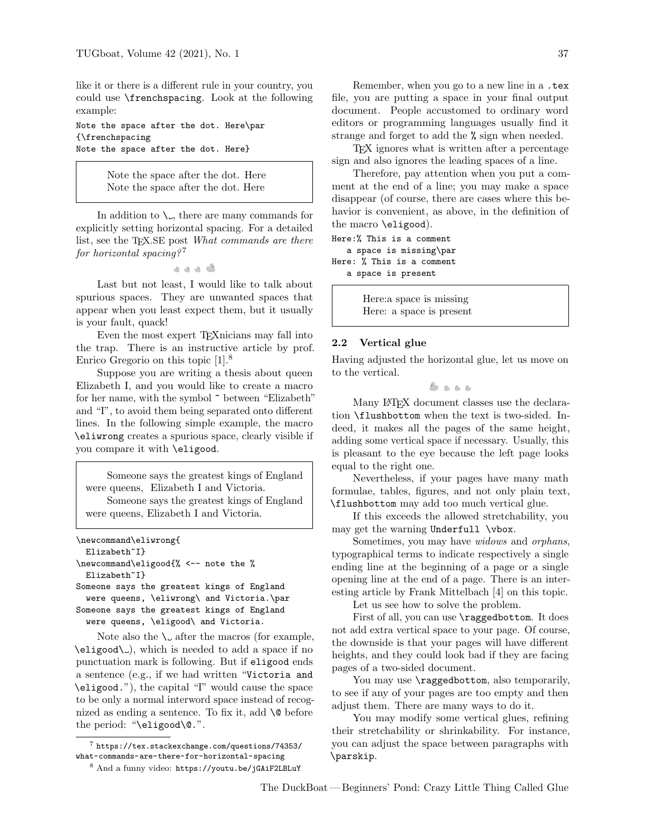like it or there is a different rule in your country, you could use \frenchspacing. Look at the following example:

Note the space after the dot. Here\par {\frenchspacing Note the space after the dot. Here}

> Note the space after the dot. Here Note the space after the dot. Here

In addition to  $\mathcal{L}$ , there are many commands for explicitly setting horizontal spacing. For a detailed list, see the T<sub>E</sub>X.SE post *What commands are there* for horizontal spacing?<sup>[7](#page-3-0)</sup>

. . . .

Last but not least, I would like to talk about spurious spaces. They are unwanted spaces that appear when you least expect them, but it usually is your fault, quack!

Even the most expert TEXnicians may fall into the trap. There is an instructive article by prof. Enrico Gregorio on this topic [\[1\]](#page-5-1).[8](#page-3-1)

Suppose you are writing a thesis about queen Elizabeth I, and you would like to create a macro for her name, with the symbol ~ between "Elizabeth" and "I", to avoid them being separated onto different lines. In the following simple example, the macro \eliwrong creates a spurious space, clearly visible if you compare it with \eligood.

Someone says the greatest kings of England were queens, Elizabeth I and Victoria. Someone says the greatest kings of England were queens, Elizabeth I and Victoria.

```
\newcommand\eliwrong{
  Elizabeth~I}
\newcommand\eligood{% <-- note the %
  Elizabeth<sup>~</sup>I}
Someone says the greatest kings of England
```

```
were queens, \eliwrong\ and Victoria.\par
Someone says the greatest kings of England
  were queens, \eligood\ and Victoria.
```
Note also the  $\setminus$  after the macros (for example,  $\left\{\ell\right\}$ , which is needed to add a space if no punctuation mark is following. But if eligood ends a sentence (e.g., if we had written "Victoria and \eligood."), the capital "I" would cause the space to be only a normal interword space instead of recognized as ending a sentence. To fix it, add  $\Diamond$  before the period: "\eligood\@.".

document. People accustomed to ordinary word editors or programming languages usually find it strange and forget to add the % sign when needed.

TEX ignores what is written after a percentage sign and also ignores the leading spaces of a line.

Therefore, pay attention when you put a comment at the end of a line; you may make a space disappear (of course, there are cases where this behavior is convenient, as above, in the definition of the macro \eligood).

```
Here:% This is a comment
   a space is missing\par
Here: % This is a comment
   a space is present
```
Here:a space is missing Here: a space is present

#### 2.2 Vertical glue

Having adjusted the horizontal glue, let us move on to the vertical.

やるもも

Many LATEX document classes use the declaration \flushbottom when the text is two-sided. Indeed, it makes all the pages of the same height, adding some vertical space if necessary. Usually, this is pleasant to the eye because the left page looks equal to the right one.

Nevertheless, if your pages have many math formulae, tables, figures, and not only plain text, \flushbottom may add too much vertical glue.

If this exceeds the allowed stretchability, you may get the warning Underfull \vbox.

Sometimes, you may have widows and orphans, typographical terms to indicate respectively a single ending line at the beginning of a page or a single opening line at the end of a page. There is an interesting article by Frank Mittelbach [\[4\]](#page-5-2) on this topic.

Let us see how to solve the problem.

First of all, you can use **\raggedbottom**. It does not add extra vertical space to your page. Of course, the downside is that your pages will have different heights, and they could look bad if they are facing pages of a two-sided document.

You may use  $\raggedbottom$ , also temporarily, to see if any of your pages are too empty and then adjust them. There are many ways to do it.

You may modify some vertical glues, refining their stretchability or shrinkability. For instance, you can adjust the space between paragraphs with \parskip.

<span id="page-3-0"></span><sup>7</sup> [https://tex.stackexchange.com/questions/74353/](https://tex.stackexchange.com/questions/74353/what-commands-are-there-for-horizontal-spacing) [what-commands-are-there-for-horizontal-spacing](https://tex.stackexchange.com/questions/74353/what-commands-are-there-for-horizontal-spacing)

<span id="page-3-1"></span><sup>8</sup> And a funny video: <https://youtu.be/jGAiF2LBLuY>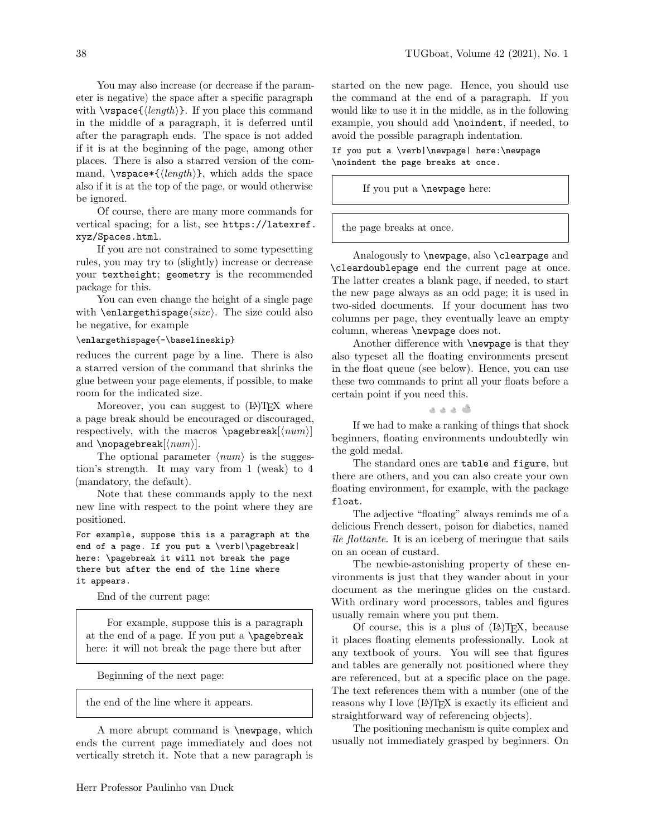You may also increase (or decrease if the parameter is negative) the space after a specific paragraph with  $\varepsilon(\langle length \rangle)$ . If you place this command in the middle of a paragraph, it is deferred until after the paragraph ends. The space is not added if it is at the beginning of the page, among other places. There is also a starred version of the command,  $\varepsilon_{\{length\}}$ , which adds the space also if it is at the top of the page, or would otherwise be ignored.

Of course, there are many more commands for vertical spacing; for a list, see [https://latexref.](https://latexref.xyz/Spaces.html) [xyz/Spaces.html](https://latexref.xyz/Spaces.html).

If you are not constrained to some typesetting rules, you may try to (slightly) increase or decrease your textheight; geometry is the recommended package for this.

You can even change the height of a single page with **\enlargethispage** $\langle size \rangle$ . The size could also be negative, for example

#### \enlargethispage{-\baselineskip}

reduces the current page by a line. There is also a starred version of the command that shrinks the glue between your page elements, if possible, to make room for the indicated size.

Moreover, you can suggest to  $(LA)$ T<sub>F</sub>X where a page break should be encouraged or discouraged, respectively, with the macros  $\paqebreak[*num*)]$ and  $\n\rho$ agebreak $\langle num \rangle$ .

The optional parameter  $\langle num \rangle$  is the suggestion's strength. It may vary from 1 (weak) to 4 (mandatory, the default).

Note that these commands apply to the next new line with respect to the point where they are positioned.

For example, suppose this is a paragraph at the end of a page. If you put a \verb|\pagebreak| here: \pagebreak it will not break the page there but after the end of the line where it appears.

End of the current page:

For example, suppose this is a paragraph at the end of a page. If you put a \pagebreak here: it will not break the page there but after

Beginning of the next page:

the end of the line where it appears.

A more abrupt command is \newpage, which ends the current page immediately and does not vertically stretch it. Note that a new paragraph is

started on the new page. Hence, you should use the command at the end of a paragraph. If you would like to use it in the middle, as in the following example, you should add \noindent, if needed, to avoid the possible paragraph indentation.

If you put a \verb|\newpage| here:\newpage \noindent the page breaks at once.

If you put a \newpage here:

the page breaks at once.

Analogously to \newpage, also \clearpage and \cleardoublepage end the current page at once. The latter creates a blank page, if needed, to start the new page always as an odd page; it is used in two-sided documents. If your document has two columns per page, they eventually leave an empty column, whereas \newpage does not.

Another difference with \newpage is that they also typeset all the floating environments present in the float queue (see below). Hence, you can use these two commands to print all your floats before a certain point if you need this.

گ د د د

If we had to make a ranking of things that shock beginners, floating environments undoubtedly win the gold medal.

The standard ones are table and figure, but there are others, and you can also create your own floating environment, for example, with the package float.

The adjective "floating" always reminds me of a delicious French dessert, poison for diabetics, named  $\hat{u}$ le flottante. It is an iceberg of meringue that sails on an ocean of custard.

The newbie-astonishing property of these environments is just that they wander about in your document as the meringue glides on the custard. With ordinary word processors, tables and figures usually remain where you put them.

Of course, this is a plus of  $(L<sup>A</sup>)$ T<sub>E</sub>X, because it places floating elements professionally. Look at any textbook of yours. You will see that figures and tables are generally not positioned where they are referenced, but at a specific place on the page. The text references them with a number (one of the reasons why I love  $(L)$ T<sub>EX</sub> is exactly its efficient and straightforward way of referencing objects).

The positioning mechanism is quite complex and usually not immediately grasped by beginners. On